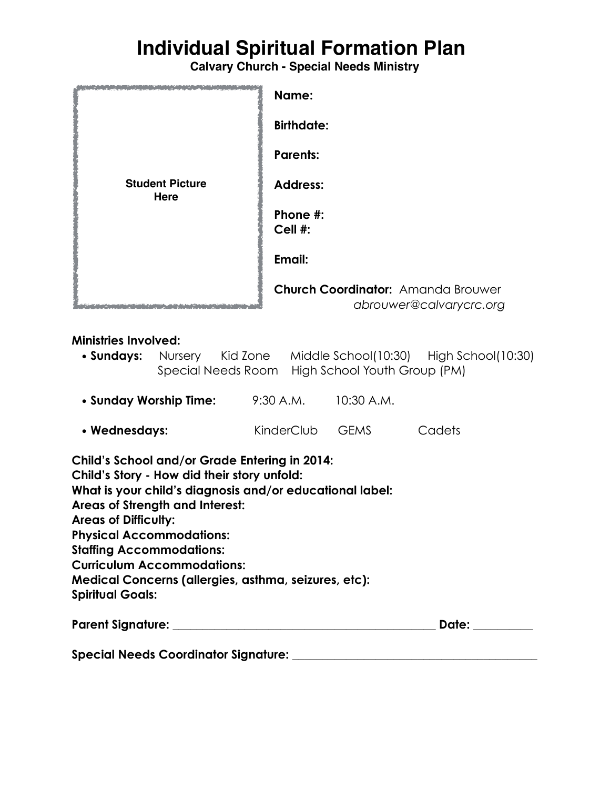# **Individual Spiritual Formation Plan**

**Calvary Church - Special Needs Ministry**

|                                       | Name:                                                         |
|---------------------------------------|---------------------------------------------------------------|
| <b>Student Picture</b><br><b>Here</b> | <b>Birthdate:</b>                                             |
|                                       | <b>Parents:</b>                                               |
|                                       | <b>Address:</b>                                               |
|                                       | Phone #:<br>Cell #:                                           |
|                                       | Email:                                                        |
|                                       |                                                               |
|                                       | Church Coordinator: Amanda Brouwer<br>abrouwer@calvarycrc.org |

### **Ministries Involved:**

|  |  | • <b>Sundays:</b> Nursery Kid Zone Middle School(10:30) High School(10:30) |  |
|--|--|----------------------------------------------------------------------------|--|
|  |  | Special Needs Room High School Youth Group (PM)                            |  |

| • Sunday Worship Time: | 9:30 A.M. | 10:30 A.M. |
|------------------------|-----------|------------|
|------------------------|-----------|------------|

| Cadets<br><b>GEMS</b><br>KinderClub<br>• Wednesdays: |
|------------------------------------------------------|
|------------------------------------------------------|

| Child's School and/or Grade Entering in 2014:<br>Child's Story - How did their story unfold: |       |  |  |  |  |
|----------------------------------------------------------------------------------------------|-------|--|--|--|--|
| What is your child's diagnosis and/or educational label:                                     |       |  |  |  |  |
| <b>Areas of Strength and Interest:</b>                                                       |       |  |  |  |  |
| <b>Areas of Difficulty:</b>                                                                  |       |  |  |  |  |
| <b>Physical Accommodations:</b>                                                              |       |  |  |  |  |
| <b>Staffing Accommodations:</b>                                                              |       |  |  |  |  |
| <b>Curriculum Accommodations:</b>                                                            |       |  |  |  |  |
| Medical Concerns (allergies, asthma, seizures, etc):                                         |       |  |  |  |  |
| <b>Spiritual Goals:</b>                                                                      |       |  |  |  |  |
| Parent Signature: _______________                                                            | Date: |  |  |  |  |

**Special Needs Coordinator Signature: \_\_\_\_\_\_\_\_\_\_\_\_\_\_\_\_\_\_\_\_\_\_\_\_\_\_\_\_\_\_\_\_\_\_\_\_\_\_\_\_\_**